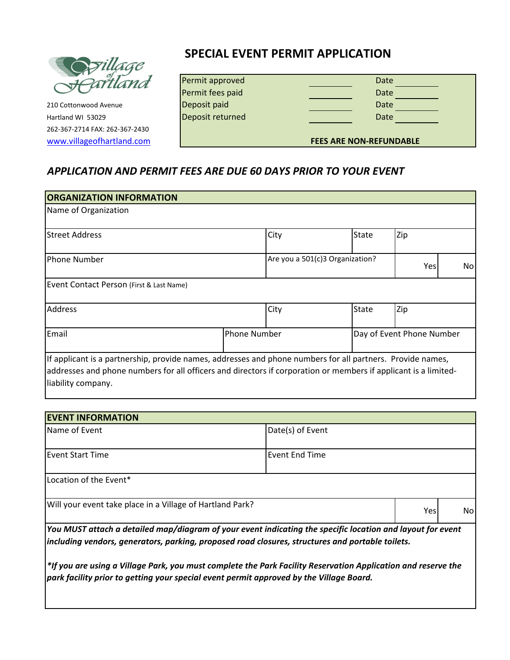

210 Cottonwood Avenue Hartland WI 53029 262-367-2714 FAX: 262-367-2430 [www.villageofhartland.com](http://www.villageofhartland.com/)

# **SPECIAL EVENT PERMIT APPLICATION**

| Permit approved  | Date                           |  |  |  |
|------------------|--------------------------------|--|--|--|
| Permit fees paid | Date                           |  |  |  |
| Deposit paid     | Date                           |  |  |  |
| Deposit returned | Date                           |  |  |  |
|                  |                                |  |  |  |
|                  | <b>FEES ARE NON-REFUNDABLE</b> |  |  |  |

# *APPLICATION AND PERMIT FEES ARE DUE 60 DAYS PRIOR TO YOUR EVENT*

| <b>ORGANIZATION INFORMATION</b>                                                                                                                                                                                                                     |  |                     |                                 |                           |                |
|-----------------------------------------------------------------------------------------------------------------------------------------------------------------------------------------------------------------------------------------------------|--|---------------------|---------------------------------|---------------------------|----------------|
| Name of Organization                                                                                                                                                                                                                                |  |                     |                                 |                           |                |
| <b>Street Address</b>                                                                                                                                                                                                                               |  | City                | State                           | Zip                       |                |
| <b>Phone Number</b>                                                                                                                                                                                                                                 |  |                     | Are you a 501(c)3 Organization? |                           | N <sub>o</sub> |
| Event Contact Person (First & Last Name)                                                                                                                                                                                                            |  |                     |                                 |                           |                |
| <b>Address</b>                                                                                                                                                                                                                                      |  | City                | <b>State</b>                    | Zip                       |                |
| Email                                                                                                                                                                                                                                               |  | <b>Phone Number</b> |                                 | Day of Event Phone Number |                |
| If applicant is a partnership, provide names, addresses and phone numbers for all partners. Provide names,<br>addresses and phone numbers for all officers and directors if corporation or members if applicant is a limited-<br>liability company. |  |                     |                                 |                           |                |

| <b>EVENT INFORMATION</b>                                                                                                                                                                                        |                       |  |  |  |  |  |
|-----------------------------------------------------------------------------------------------------------------------------------------------------------------------------------------------------------------|-----------------------|--|--|--|--|--|
| Name of Event                                                                                                                                                                                                   | Date(s) of Event      |  |  |  |  |  |
|                                                                                                                                                                                                                 |                       |  |  |  |  |  |
| <b>IEvent Start Time</b>                                                                                                                                                                                        | <b>Event End Time</b> |  |  |  |  |  |
| Location of the Event*                                                                                                                                                                                          |                       |  |  |  |  |  |
| Will your event take place in a Village of Hartland Park?<br>Yes                                                                                                                                                |                       |  |  |  |  |  |
| You MUST attach a detailed map/diagram of your event indicating the specific location and layout for event                                                                                                      |                       |  |  |  |  |  |
| including vendors, generators, parking, proposed road closures, structures and portable toilets.                                                                                                                |                       |  |  |  |  |  |
| $\mid$ *If you are using a Village Park, you must complete the Park Facility Reservation Application and reserve the<br>park facility prior to getting your special event permit approved by the Village Board. |                       |  |  |  |  |  |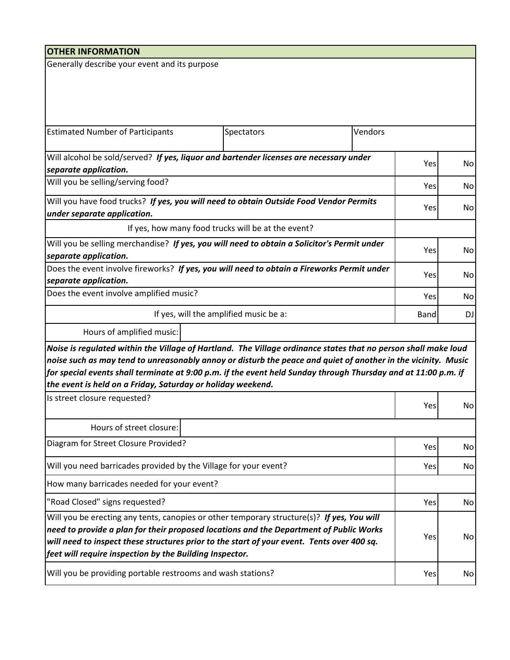| <b>OTHER INFORMATION</b>                                                                                                                                                      |                                                    |         |     |    |  |
|-------------------------------------------------------------------------------------------------------------------------------------------------------------------------------|----------------------------------------------------|---------|-----|----|--|
| Generally describe your event and its purpose                                                                                                                                 |                                                    |         |     |    |  |
|                                                                                                                                                                               |                                                    |         |     |    |  |
|                                                                                                                                                                               |                                                    |         |     |    |  |
|                                                                                                                                                                               |                                                    |         |     |    |  |
| <b>Estimated Number of Participants</b>                                                                                                                                       | Spectators                                         | Vendors |     |    |  |
|                                                                                                                                                                               |                                                    |         |     |    |  |
| Will alcohol be sold/served? If yes, liquor and bartender licenses are necessary under                                                                                        |                                                    |         | Yes | No |  |
| separate application.                                                                                                                                                         |                                                    |         |     |    |  |
| Will you be selling/serving food?                                                                                                                                             |                                                    |         | Yes | No |  |
| Will you have food trucks? If yes, you will need to obtain Outside Food Vendor Permits                                                                                        |                                                    |         | Yes | No |  |
| under separate application.                                                                                                                                                   |                                                    |         |     |    |  |
|                                                                                                                                                                               | If yes, how many food trucks will be at the event? |         |     |    |  |
| Will you be selling merchandise? If yes, you will need to obtain a Solicitor's Permit under                                                                                   |                                                    |         | Yes | No |  |
| separate application.                                                                                                                                                         |                                                    |         |     |    |  |
| Does the event involve fireworks? If yes, you will need to obtain a Fireworks Permit under<br>separate application.                                                           | Yes                                                | No      |     |    |  |
| Does the event involve amplified music?                                                                                                                                       |                                                    |         |     |    |  |
|                                                                                                                                                                               | Yes                                                | No      |     |    |  |
| If yes, will the amplified music be a:                                                                                                                                        | Band                                               | DJ      |     |    |  |
| Hours of amplified music:                                                                                                                                                     |                                                    |         |     |    |  |
| Noise is regulated within the Village of Hartland. The Village ordinance states that no person shall make loud                                                                |                                                    |         |     |    |  |
| noise such as may tend to unreasonably annoy or disturb the peace and quiet of another in the vicinity. Music                                                                 |                                                    |         |     |    |  |
| for special events shall terminate at 9:00 p.m. if the event held Sunday through Thursday and at 11:00 p.m. if<br>the event is held on a Friday, Saturday or holiday weekend. |                                                    |         |     |    |  |
| Is street closure requested?                                                                                                                                                  |                                                    |         |     |    |  |
|                                                                                                                                                                               |                                                    |         | Yes | No |  |
| Hours of street closure:                                                                                                                                                      |                                                    |         |     |    |  |
| Diagram for Street Closure Provided?                                                                                                                                          | Yes                                                | No      |     |    |  |
| Will you need barricades provided by the Village for your event?                                                                                                              | Yes                                                | No      |     |    |  |
| How many barricades needed for your event?                                                                                                                                    |                                                    |         |     |    |  |
| "Road Closed" signs requested?                                                                                                                                                |                                                    |         |     | No |  |
| Will you be erecting any tents, canopies or other temporary structure(s)? If yes, You will                                                                                    |                                                    |         |     |    |  |
| need to provide a plan for their proposed locations and the Department of Public Works                                                                                        | Yes                                                | No      |     |    |  |
| will need to inspect these structures prior to the start of your event. Tents over 400 sq.                                                                                    |                                                    |         |     |    |  |
| feet will require inspection by the Building Inspector.                                                                                                                       |                                                    |         |     |    |  |
| Will you be providing portable restrooms and wash stations?                                                                                                                   |                                                    |         |     | No |  |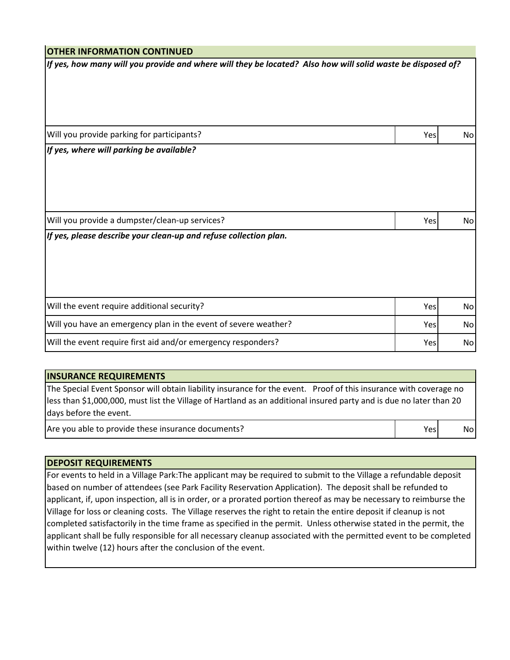## **OTHER INFORMATION CONTINUED**

*If yes, how many will you provide and where will they be located? Also how will solid waste be disposed of?*

Yes No Yes No Yes No Yes No Yes No Will the event require additional security? Will you have an emergency plan in the event of severe weather? Will the event require first aid and/or emergency responders? Will you provide a dumpster/clean-up services? *If yes, please describe your clean-up and refuse collection plan.* Will you provide parking for participants? *If yes, where will parking be available?*

#### **INSURANCE REQUIREMENTS**

The Special Event Sponsor will obtain liability insurance for the event. Proof of this insurance with coverage no less than \$1,000,000, must list the Village of Hartland as an additional insured party and is due no later than 20 days before the event.

Yes No

Are you able to provide these insurance documents?

**DEPOSIT REQUIREMENTS**

For events to held in a Village Park:The applicant may be required to submit to the Village a refundable deposit based on number of attendees (see Park Facility Reservation Application). The deposit shall be refunded to applicant, if, upon inspection, all is in order, or a prorated portion thereof as may be necessary to reimburse the Village for loss or cleaning costs. The Village reserves the right to retain the entire deposit if cleanup is not completed satisfactorily in the time frame as specified in the permit. Unless otherwise stated in the permit, the applicant shall be fully responsible for all necessary cleanup associated with the permitted event to be completed within twelve (12) hours after the conclusion of the event.